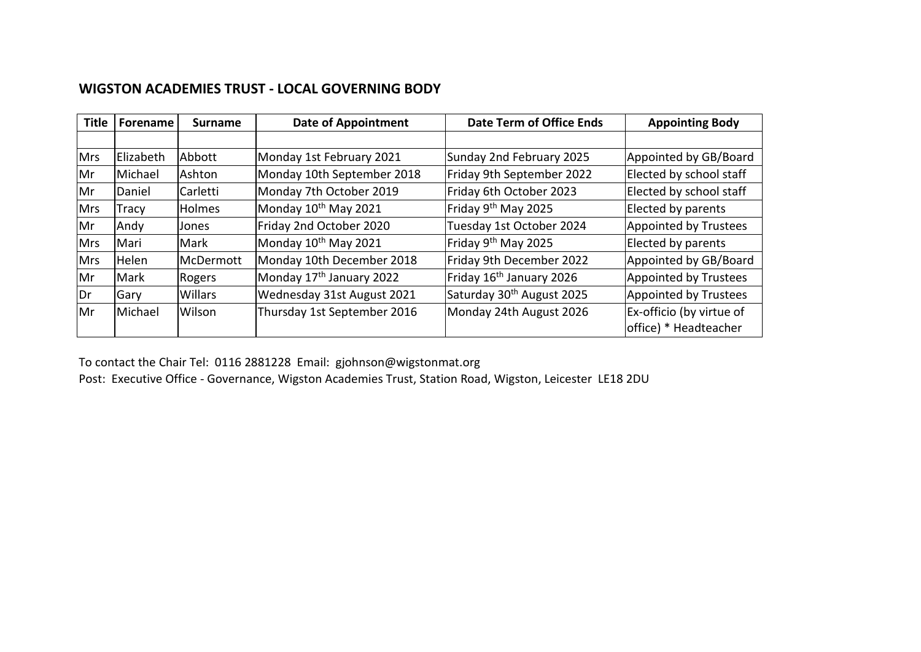## **WIGSTON ACADEMIES TRUST - LOCAL GOVERNING BODY**

| <b>Title</b> | Forename     | <b>Surname</b>  | <b>Date of Appointment</b>           | Date Term of Office Ends              | <b>Appointing Body</b>                            |
|--------------|--------------|-----------------|--------------------------------------|---------------------------------------|---------------------------------------------------|
|              |              |                 |                                      |                                       |                                                   |
| <b>Mrs</b>   | Elizabeth    | Abbott          | Monday 1st February 2021             | Sunday 2nd February 2025              | Appointed by GB/Board                             |
| Mr           | Michael      | lAshton         | Monday 10th September 2018           | Friday 9th September 2022             | Elected by school staff                           |
| Mr           | Daniel       | <b>Carletti</b> | Monday 7th October 2019              | Friday 6th October 2023               | Elected by school staff                           |
| <b>Mrs</b>   | Tracy        | <b>Holmes</b>   | Monday 10 <sup>th</sup> May 2021     | Friday 9 <sup>th</sup> May 2025       | Elected by parents                                |
| Mr           | Andy         | Jones           | Friday 2nd October 2020              | Tuesday 1st October 2024              | Appointed by Trustees                             |
| <b>Mrs</b>   | Mari         | Mark            | Monday 10 <sup>th</sup> May 2021     | Friday 9 <sup>th</sup> May 2025       | Elected by parents                                |
| <b>Mrs</b>   | Helen        | McDermott       | Monday 10th December 2018            | Friday 9th December 2022              | Appointed by GB/Board                             |
| Mr           | Mark         | Rogers          | Monday 17 <sup>th</sup> January 2022 | Friday 16 <sup>th</sup> January 2026  | Appointed by Trustees                             |
| <b>IDr</b>   | <b>IGary</b> | <b>Willars</b>  | Wednesday 31st August 2021           | Saturday 30 <sup>th</sup> August 2025 | Appointed by Trustees                             |
| Mr           | Michael      | Wilson          | Thursday 1st September 2016          | Monday 24th August 2026               | Ex-officio (by virtue of<br>office) * Headteacher |

To contact the Chair Tel: 0116 2881228 Email: gjohnson@wigstonmat.org

Post: Executive Office - Governance, Wigston Academies Trust, Station Road, Wigston, Leicester LE18 2DU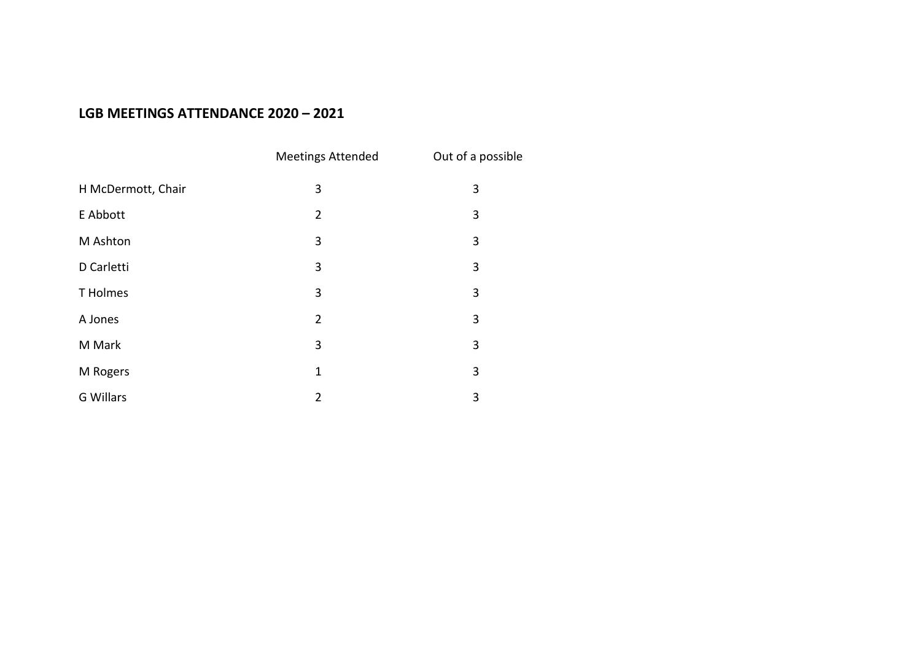## **LGB MEETINGS ATTENDANCE 2020 – 2021**

|                    | <b>Meetings Attended</b> | Out of a possible |
|--------------------|--------------------------|-------------------|
| H McDermott, Chair | 3                        | 3                 |
| E Abbott           | $\overline{2}$           | 3                 |
| M Ashton           | 3                        | 3                 |
| D Carletti         | 3                        | 3                 |
| T Holmes           | 3                        | 3                 |
| A Jones            | $\overline{2}$           | 3                 |
| M Mark             | 3                        | 3                 |
| M Rogers           | $\mathbf{1}$             | 3                 |
| G Willars          | $\overline{2}$           | 3                 |